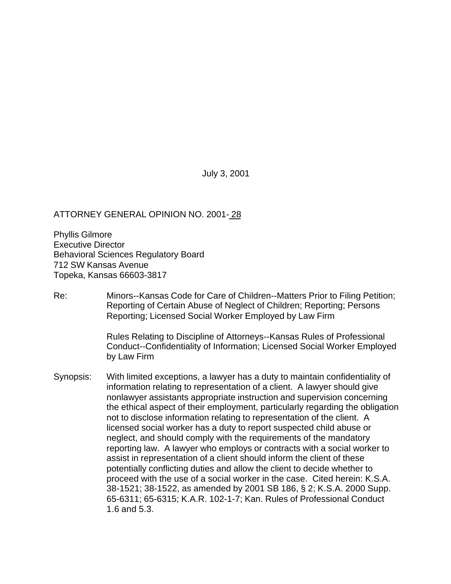July 3, 2001

## ATTORNEY GENERAL OPINION NO. 2001- 28

Phyllis Gilmore Executive Director Behavioral Sciences Regulatory Board 712 SW Kansas Avenue Topeka, Kansas 66603-3817

Re: Minors--Kansas Code for Care of Children--Matters Prior to Filing Petition; Reporting of Certain Abuse of Neglect of Children; Reporting; Persons Reporting; Licensed Social Worker Employed by Law Firm

> Rules Relating to Discipline of Attorneys--Kansas Rules of Professional Conduct--Confidentiality of Information; Licensed Social Worker Employed by Law Firm

Synopsis: With limited exceptions, a lawyer has a duty to maintain confidentiality of information relating to representation of a client. A lawyer should give nonlawyer assistants appropriate instruction and supervision concerning the ethical aspect of their employment, particularly regarding the obligation not to disclose information relating to representation of the client. A licensed social worker has a duty to report suspected child abuse or neglect, and should comply with the requirements of the mandatory reporting law. A lawyer who employs or contracts with a social worker to assist in representation of a client should inform the client of these potentially conflicting duties and allow the client to decide whether to proceed with the use of a social worker in the case. Cited herein: K.S.A. 38-1521; 38-1522, as amended by 2001 SB 186, § 2; K.S.A. 2000 Supp. 65-6311; 65-6315; K.A.R. 102-1-7; Kan. Rules of Professional Conduct 1.6 and 5.3.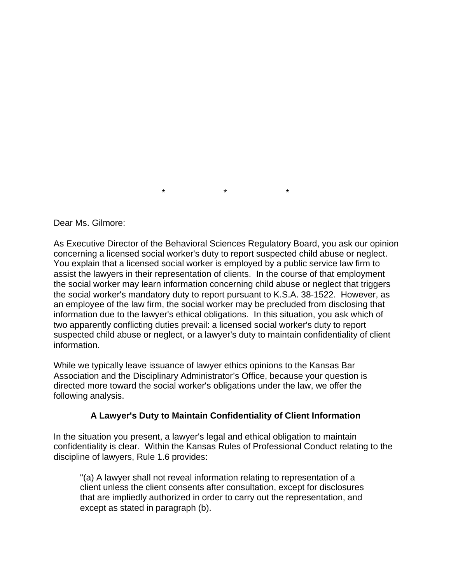Dear Ms. Gilmore:

As Executive Director of the Behavioral Sciences Regulatory Board, you ask our opinion concerning a licensed social worker's duty to report suspected child abuse or neglect. You explain that a licensed social worker is employed by a public service law firm to assist the lawyers in their representation of clients. In the course of that employment the social worker may learn information concerning child abuse or neglect that triggers the social worker's mandatory duty to report pursuant to K.S.A. 38-1522. However, as an employee of the law firm, the social worker may be precluded from disclosing that information due to the lawyer's ethical obligations. In this situation, you ask which of two apparently conflicting duties prevail: a licensed social worker's duty to report suspected child abuse or neglect, or a lawyer's duty to maintain confidentiality of client information.

\* \* \*

While we typically leave issuance of lawyer ethics opinions to the Kansas Bar Association and the Disciplinary Administrator's Office, because your question is directed more toward the social worker's obligations under the law, we offer the following analysis.

## **A Lawyer's Duty to Maintain Confidentiality of Client Information**

In the situation you present, a lawyer's legal and ethical obligation to maintain confidentiality is clear. Within the Kansas Rules of Professional Conduct relating to the discipline of lawyers, Rule 1.6 provides:

"(a) A lawyer shall not reveal information relating to representation of a client unless the client consents after consultation, except for disclosures that are impliedly authorized in order to carry out the representation, and except as stated in paragraph (b).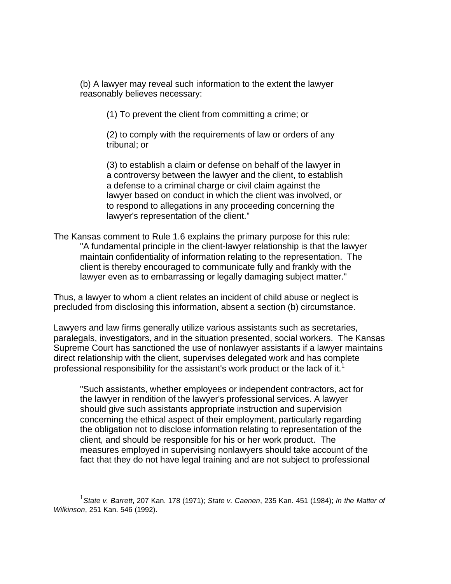(b) A lawyer may reveal such information to the extent the lawyer reasonably believes necessary:

(1) To prevent the client from committing a crime; or

(2) to comply with the requirements of law or orders of any tribunal; or

(3) to establish a claim or defense on behalf of the lawyer in a controversy between the lawyer and the client, to establish a defense to a criminal charge or civil claim against the lawyer based on conduct in which the client was involved, or to respond to allegations in any proceeding concerning the lawyer's representation of the client."

The Kansas comment to Rule 1.6 explains the primary purpose for this rule: "A fundamental principle in the client-lawyer relationship is that the lawyer maintain confidentiality of information relating to the representation. The client is thereby encouraged to communicate fully and frankly with the lawyer even as to embarrassing or legally damaging subject matter."

Thus, a lawyer to whom a client relates an incident of child abuse or neglect is precluded from disclosing this information, absent a section (b) circumstance.

Lawyers and law firms generally utilize various assistants such as secretaries, paralegals, investigators, and in the situation presented, social workers. The Kansas Supreme Court has sanctioned the use of nonlawyer assistants if a lawyer maintains direct relationship with the client, supervises delegated work and has complete professional responsibility for the assistant's work product or the lack of it.<sup>1</sup>

"Such assistants, whether employees or independent contractors, act for the lawyer in rendition of the lawyer's professional services. A lawyer should give such assistants appropriate instruction and supervision concerning the ethical aspect of their employment, particularly regarding the obligation not to disclose information relating to representation of the client, and should be responsible for his or her work product. The measures employed in supervising nonlawyers should take account of the fact that they do not have legal training and are not subject to professional

 $\overline{a}$ 

<sup>1</sup> *State v. Barrett*, 207 Kan. 178 (1971); *State v. Caenen*, 235 Kan. 451 (1984); *In the Matter of Wilkinson*, 251 Kan. 546 (1992).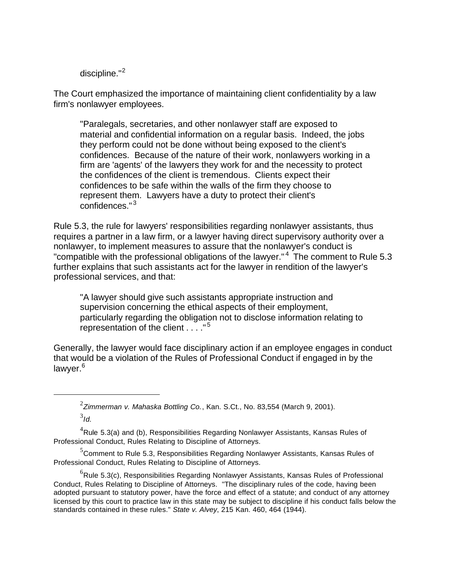discipline."<sup>2</sup>

 $\overline{a}$ 

The Court emphasized the importance of maintaining client confidentiality by a law firm's nonlawyer employees.

"Paralegals, secretaries, and other nonlawyer staff are exposed to material and confidential information on a regular basis. Indeed, the jobs they perform could not be done without being exposed to the client's confidences. Because of the nature of their work, nonlawyers working in a firm are 'agents' of the lawyers they work for and the necessity to protect the confidences of the client is tremendous. Clients expect their confidences to be safe within the walls of the firm they choose to represent them. Lawyers have a duty to protect their client's confidences." <sup>3</sup>

Rule 5.3, the rule for lawyers' responsibilities regarding nonlawyer assistants, thus requires a partner in a law firm, or a lawyer having direct supervisory authority over a nonlawyer, to implement measures to assure that the nonlawyer's conduct is "compatible with the professional obligations of the lawyer."<sup>4</sup> The comment to Rule 5.3 further explains that such assistants act for the lawyer in rendition of the lawyer's professional services, and that:

"A lawyer should give such assistants appropriate instruction and supervision concerning the ethical aspects of their employment, particularly regarding the obligation not to disclose information relating to representation of the client . . . ." <sup>5</sup>

Generally, the lawyer would face disciplinary action if an employee engages in conduct that would be a violation of the Rules of Professional Conduct if engaged in by the lawyer.<sup>6</sup>

<sup>2</sup> *Zimmerman v. Mahaska Bottling Co.*, Kan. S.Ct., No. 83,554 (March 9, 2001). 3 *Id*.

 ${}^{4}$ Rule 5.3(a) and (b), Responsibilities Regarding Nonlawyer Assistants, Kansas Rules of Professional Conduct, Rules Relating to Discipline of Attorneys.

 $5$ Comment to Rule 5.3, Responsibilities Regarding Nonlawyer Assistants, Kansas Rules of Professional Conduct, Rules Relating to Discipline of Attorneys.

 ${}^{6}$ Rule 5.3(c), Responsibilities Regarding Nonlawyer Assistants, Kansas Rules of Professional Conduct, Rules Relating to Discipline of Attorneys. "The disciplinary rules of the code, having been adopted pursuant to statutory power, have the force and effect of a statute; and conduct of any attorney licensed by this court to practice law in this state may be subject to discipline if his conduct falls below the standards contained in these rules." *State v. Alvey*, 215 Kan. 460, 464 (1944).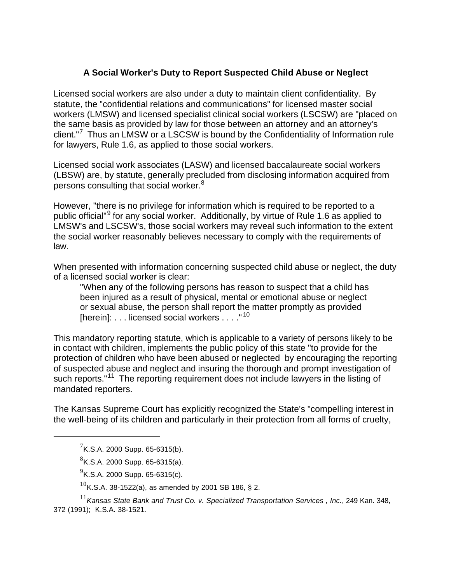## **A Social Worker's Duty to Report Suspected Child Abuse or Neglect**

Licensed social workers are also under a duty to maintain client confidentiality. By statute, the "confidential relations and communications" for licensed master social workers (LMSW) and licensed specialist clinical social workers (LSCSW) are "placed on the same basis as provided by law for those between an attorney and an attorney's client."<sup>7</sup> Thus an LMSW or a LSCSW is bound by the Confidentiality of Information rule for lawyers, Rule 1.6, as applied to those social workers.

Licensed social work associates (LASW) and licensed baccalaureate social workers (LBSW) are, by statute, generally precluded from disclosing information acquired from persons consulting that social worker.<sup>8</sup>

However, "there is no privilege for information which is required to be reported to a public official"<sup>9</sup> for any social worker. Additionally, by virtue of Rule 1.6 as applied to LMSW's and LSCSW's, those social workers may reveal such information to the extent the social worker reasonably believes necessary to comply with the requirements of law.

When presented with information concerning suspected child abuse or neglect, the duty of a licensed social worker is clear:

"When any of the following persons has reason to suspect that a child has been injured as a result of physical, mental or emotional abuse or neglect or sexual abuse, the person shall report the matter promptly as provided [herein]:  $\ldots$  licensed social workers  $\ldots$  ."<sup>10</sup>

This mandatory reporting statute, which is applicable to a variety of persons likely to be in contact with children, implements the public policy of this state "to provide for the protection of children who have been abused or neglected by encouraging the reporting of suspected abuse and neglect and insuring the thorough and prompt investigation of such reports."<sup>11</sup> The reporting requirement does not include lawyers in the listing of mandated reporters.

The Kansas Supreme Court has explicitly recognized the State's "compelling interest in the well-being of its children and particularly in their protection from all forms of cruelty,

 $\overline{a}$ 

 $7$ K.S.A. 2000 Supp. 65-6315(b).

 ${}^{8}$ K.S.A. 2000 Supp. 65-6315(a).

 $^{9}$ K.S.A. 2000 Supp. 65-6315(c).

 $10$ K.S.A. 38-1522(a), as amended by 2001 SB 186, § 2.

<sup>11</sup>*Kansas State Bank and Trust Co. v. Specialized Transportation Services , Inc.*, 249 Kan. 348, 372 (1991); K.S.A. 38-1521.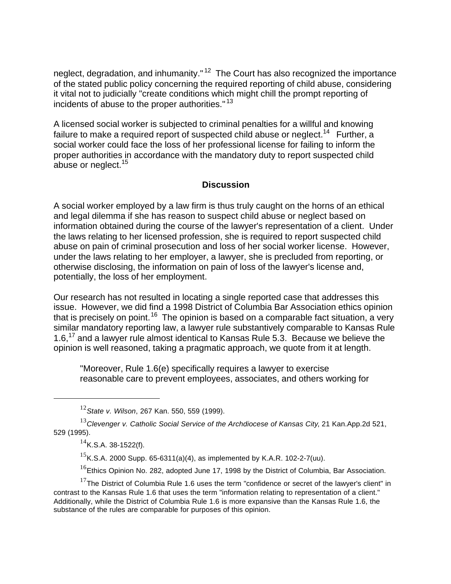neglect, degradation, and inhumanity."<sup>12</sup> The Court has also recognized the importance of the stated public policy concerning the required reporting of child abuse, considering it vital not to judicially "create conditions which might chill the prompt reporting of incidents of abuse to the proper authorities."<sup>13</sup>

A licensed social worker is subjected to criminal penalties for a willful and knowing failure to make a required report of suspected child abuse or neglect.<sup>14</sup> Further, a social worker could face the loss of her professional license for failing to inform the proper authorities in accordance with the mandatory duty to report suspected child abuse or neglect.<sup>15</sup>

## **Discussion**

A social worker employed by a law firm is thus truly caught on the horns of an ethical and legal dilemma if she has reason to suspect child abuse or neglect based on information obtained during the course of the lawyer's representation of a client. Under the laws relating to her licensed profession, she is required to report suspected child abuse on pain of criminal prosecution and loss of her social worker license. However, under the laws relating to her employer, a lawyer, she is precluded from reporting, or otherwise disclosing, the information on pain of loss of the lawyer's license and, potentially, the loss of her employment.

Our research has not resulted in locating a single reported case that addresses this issue. However, we did find a 1998 District of Columbia Bar Association ethics opinion that is precisely on point.<sup>16</sup> The opinion is based on a comparable fact situation, a very similar mandatory reporting law, a lawyer rule substantively comparable to Kansas Rule 1.6.<sup>17</sup> and a lawyer rule almost identical to Kansas Rule 5.3. Because we believe the opinion is well reasoned, taking a pragmatic approach, we quote from it at length.

"Moreover, Rule 1.6(e) specifically requires a lawyer to exercise reasonable care to prevent employees, associates, and others working for

 $14$ K.S.A. 38-1522(f).

 $\overline{a}$ 

<sup>15</sup>K.S.A. 2000 Supp. 65-6311(a)(4), as implemented by K.A.R. 102-2-7(uu).

 $16$ Ethics Opinion No. 282, adopted June 17, 1998 by the District of Columbia, Bar Association.

 $17$ The District of Columbia Rule 1.6 uses the term "confidence or secret of the lawyer's client" in contrast to the Kansas Rule 1.6 that uses the term "information relating to representation of a client." Additionally, while the District of Columbia Rule 1.6 is more expansive than the Kansas Rule 1.6, the substance of the rules are comparable for purposes of this opinion.

<sup>12</sup>*State v. Wilson*, 267 Kan. 550, 559 (1999).

<sup>13</sup>*Clevenger v. Catholic Social Service of the Archdiocese of Kansas City*, 21 Kan.App.2d 521, 529 (1995).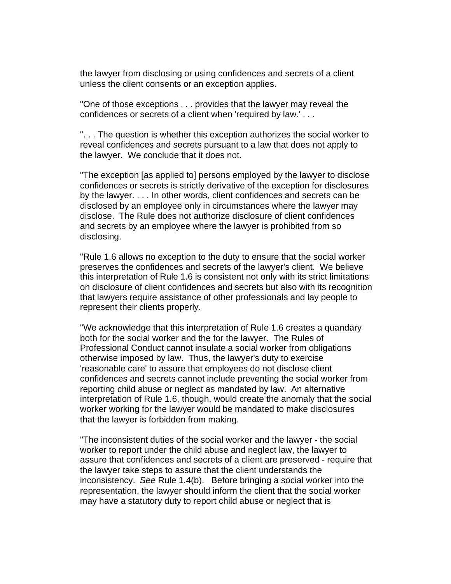the lawyer from disclosing or using confidences and secrets of a client unless the client consents or an exception applies.

"One of those exceptions . . . provides that the lawyer may reveal the confidences or secrets of a client when 'required by law.' . . .

". . . The question is whether this exception authorizes the social worker to reveal confidences and secrets pursuant to a law that does not apply to the lawyer. We conclude that it does not.

"The exception [as applied to] persons employed by the lawyer to disclose confidences or secrets is strictly derivative of the exception for disclosures by the lawyer. . . . In other words, client confidences and secrets can be disclosed by an employee only in circumstances where the lawyer may disclose. The Rule does not authorize disclosure of client confidences and secrets by an employee where the lawyer is prohibited from so disclosing.

"Rule 1.6 allows no exception to the duty to ensure that the social worker preserves the confidences and secrets of the lawyer's client. We believe this interpretation of Rule 1.6 is consistent not only with its strict limitations on disclosure of client confidences and secrets but also with its recognition that lawyers require assistance of other professionals and lay people to represent their clients properly.

"We acknowledge that this interpretation of Rule 1.6 creates a quandary both for the social worker and the for the lawyer. The Rules of Professional Conduct cannot insulate a social worker from obligations otherwise imposed by law. Thus, the lawyer's duty to exercise 'reasonable care' to assure that employees do not disclose client confidences and secrets cannot include preventing the social worker from reporting child abuse or neglect as mandated by law. An alternative interpretation of Rule 1.6, though, would create the anomaly that the social worker working for the lawyer would be mandated to make disclosures that the lawyer is forbidden from making.

"The inconsistent duties of the social worker and the lawyer - the social worker to report under the child abuse and neglect law, the lawyer to assure that confidences and secrets of a client are preserved - require that the lawyer take steps to assure that the client understands the inconsistency. *See* Rule 1.4(b). Before bringing a social worker into the representation, the lawyer should inform the client that the social worker may have a statutory duty to report child abuse or neglect that is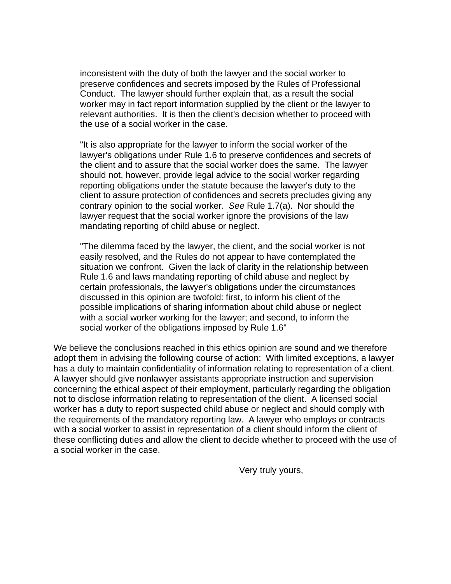inconsistent with the duty of both the lawyer and the social worker to preserve confidences and secrets imposed by the Rules of Professional Conduct. The lawyer should further explain that, as a result the social worker may in fact report information supplied by the client or the lawyer to relevant authorities. It is then the client's decision whether to proceed with the use of a social worker in the case.

"It is also appropriate for the lawyer to inform the social worker of the lawyer's obligations under Rule 1.6 to preserve confidences and secrets of the client and to assure that the social worker does the same. The lawyer should not, however, provide legal advice to the social worker regarding reporting obligations under the statute because the lawyer's duty to the client to assure protection of confidences and secrets precludes giving any contrary opinion to the social worker. *See* Rule 1.7(a). Nor should the lawyer request that the social worker ignore the provisions of the law mandating reporting of child abuse or neglect.

"The dilemma faced by the lawyer, the client, and the social worker is not easily resolved, and the Rules do not appear to have contemplated the situation we confront. Given the lack of clarity in the relationship between Rule 1.6 and laws mandating reporting of child abuse and neglect by certain professionals, the lawyer's obligations under the circumstances discussed in this opinion are twofold: first, to inform his client of the possible implications of sharing information about child abuse or neglect with a social worker working for the lawyer; and second, to inform the social worker of the obligations imposed by Rule 1.6"

We believe the conclusions reached in this ethics opinion are sound and we therefore adopt them in advising the following course of action: With limited exceptions, a lawyer has a duty to maintain confidentiality of information relating to representation of a client. A lawyer should give nonlawyer assistants appropriate instruction and supervision concerning the ethical aspect of their employment, particularly regarding the obligation not to disclose information relating to representation of the client. A licensed social worker has a duty to report suspected child abuse or neglect and should comply with the requirements of the mandatory reporting law. A lawyer who employs or contracts with a social worker to assist in representation of a client should inform the client of these conflicting duties and allow the client to decide whether to proceed with the use of a social worker in the case.

Very truly yours,